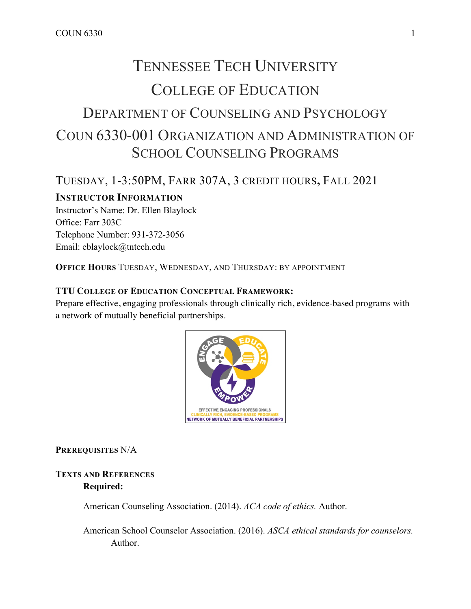# TENNESSEE TECH UNIVERSITY COLLEGE OF EDUCATION DEPARTMENT OF COUNSELING AND PSYCHOLOGY COUN 6330-001 ORGANIZATION AND ADMINISTRATION OF SCHOOL COUNSELING PROGRAMS

# TUESDAY, 1-3:50PM, FARR 307A, 3 CREDIT HOURS**,** FALL 2021

# **INSTRUCTOR INFORMATION**

Instructor's Name: Dr. Ellen Blaylock Office: Farr 303C Telephone Number: 931-372-3056 Email: eblaylock@tntech.edu

**OFFICE HOURS** TUESDAY, WEDNESDAY, AND THURSDAY: BY APPOINTMENT

#### **TTU COLLEGE OF EDUCATION CONCEPTUAL FRAMEWORK:**

Prepare effective, engaging professionals through clinically rich, evidence-based programs with a network of mutually beneficial partnerships.



**PREREQUISITES** N/A

# **TEXTS AND REFERENCES Required:**

American Counseling Association. (2014). *ACA code of ethics.* Author.

American School Counselor Association. (2016). *ASCA ethical standards for counselors.*  Author.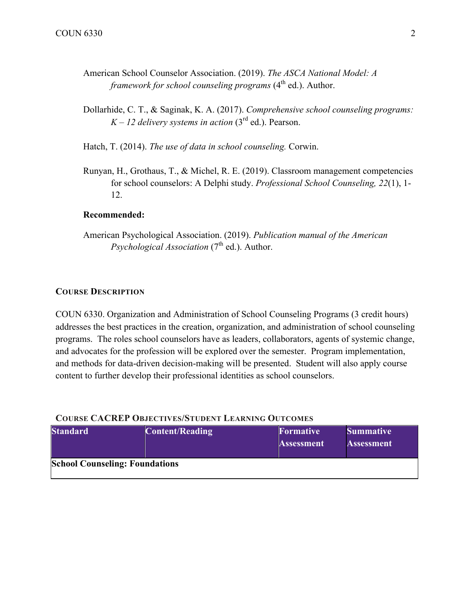- American School Counselor Association. (2019). *The ASCA National Model: A framework for school counseling programs* (4<sup>th</sup> ed.). Author.
- Dollarhide, C. T., & Saginak, K. A. (2017). *Comprehensive school counseling programs:*   $K - 12$  *delivery systems in action* (3<sup>rd</sup> ed.). Pearson.

Hatch, T. (2014). *The use of data in school counseling.* Corwin.

Runyan, H., Grothaus, T., & Michel, R. E. (2019). Classroom management competencies for school counselors: A Delphi study. *Professional School Counseling, 22*(1), 1- 12.

#### **Recommended:**

American Psychological Association. (2019). *Publication manual of the American Psychological Association* (7<sup>th</sup> ed.). Author.

#### **COURSE DESCRIPTION**

COUN 6330. Organization and Administration of School Counseling Programs (3 credit hours) addresses the best practices in the creation, organization, and administration of school counseling programs. The roles school counselors have as leaders, collaborators, agents of systemic change, and advocates for the profession will be explored over the semester. Program implementation, and methods for data-driven decision-making will be presented. Student will also apply course content to further develop their professional identities as school counselors.

#### **COURSE CACREP OBJECTIVES/STUDENT LEARNING OUTCOMES**

| <b>Standard</b>                       | Content/Reading | <b>Formative</b>  | <b>Summative</b>  |  |
|---------------------------------------|-----------------|-------------------|-------------------|--|
|                                       |                 | <b>Assessment</b> | <b>Assessment</b> |  |
| <b>School Counseling: Foundations</b> |                 |                   |                   |  |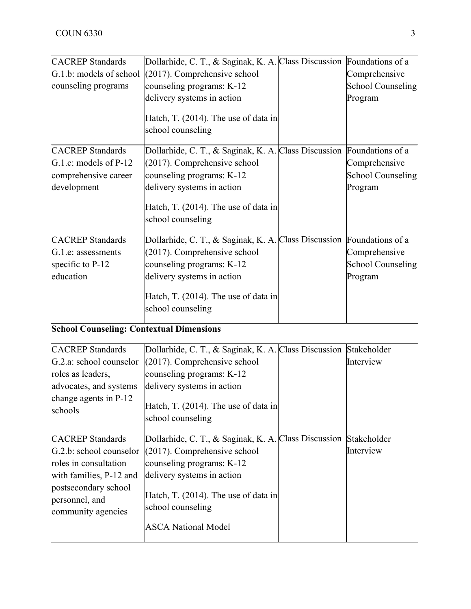| <b>CACREP</b> Standards                         | Dollarhide, C. T., & Saginak, K. A. Class Discussion Foundations of a |                          |
|-------------------------------------------------|-----------------------------------------------------------------------|--------------------------|
| G.1.b: models of school                         | $(2017)$ . Comprehensive school                                       | Comprehensive            |
| counseling programs                             | counseling programs: K-12                                             | <b>School Counseling</b> |
|                                                 | delivery systems in action                                            | Program                  |
|                                                 |                                                                       |                          |
|                                                 | Hatch, T. (2014). The use of data in                                  |                          |
|                                                 | school counseling                                                     |                          |
| <b>CACREP</b> Standards                         | Dollarhide, C. T., & Saginak, K. A. Class Discussion Foundations of a |                          |
| G.1.c: models of $P-12$                         | $(2017)$ . Comprehensive school                                       | Comprehensive            |
| comprehensive career                            | counseling programs: K-12                                             | <b>School Counseling</b> |
| development                                     | delivery systems in action                                            | Program                  |
|                                                 | Hatch, T. (2014). The use of data in                                  |                          |
|                                                 | school counseling                                                     |                          |
| <b>CACREP</b> Standards                         | Dollarhide, C. T., & Saginak, K. A. Class Discussion Foundations of a |                          |
| G.1.e: assessments                              | (2017). Comprehensive school                                          | Comprehensive            |
| specific to P-12                                | counseling programs: K-12                                             | <b>School Counseling</b> |
| education                                       | delivery systems in action                                            | Program                  |
|                                                 |                                                                       |                          |
|                                                 | Hatch, T. (2014). The use of data in                                  |                          |
|                                                 | school counseling                                                     |                          |
| <b>School Counseling: Contextual Dimensions</b> |                                                                       |                          |
| <b>CACREP</b> Standards                         | Dollarhide, C. T., & Saginak, K. A. Class Discussion Stakeholder      |                          |
| G.2.a: school counselor                         | $(2017)$ . Comprehensive school                                       | Interview                |
| roles as leaders,                               | counseling programs: K-12                                             |                          |
| advocates, and systems                          | delivery systems in action                                            |                          |
| change agents in P-12                           |                                                                       |                          |
| schools                                         | Hatch, T. (2014). The use of data in                                  |                          |
|                                                 | school counseling                                                     |                          |
| <b>CACREP</b> Standards                         | Dollarhide, C. T., & Saginak, K. A. Class Discussion Stakeholder      |                          |
| G.2.b: school counselor                         | $(2017)$ . Comprehensive school                                       | Interview                |
| roles in consultation                           | counseling programs: K-12                                             |                          |
| with families, P-12 and                         | delivery systems in action                                            |                          |
| postsecondary school                            |                                                                       |                          |
| personnel, and                                  | Hatch, T. (2014). The use of data in                                  |                          |
| community agencies                              | school counseling                                                     |                          |
|                                                 | <b>ASCA National Model</b>                                            |                          |
|                                                 |                                                                       |                          |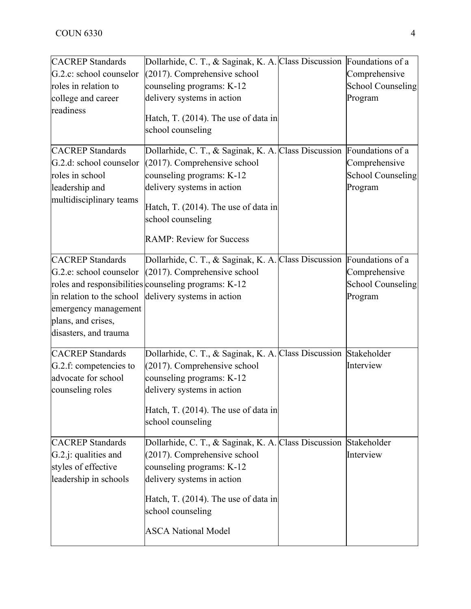| <b>CACREP</b> Standards                                                                                                                                | Dollarhide, C. T., & Saginak, K. A. Class Discussion Foundations of a                                                                                                                          |                                                      |
|--------------------------------------------------------------------------------------------------------------------------------------------------------|------------------------------------------------------------------------------------------------------------------------------------------------------------------------------------------------|------------------------------------------------------|
| G.2.c: school counselor                                                                                                                                | (2017). Comprehensive school                                                                                                                                                                   | Comprehensive                                        |
| roles in relation to                                                                                                                                   | counseling programs: K-12                                                                                                                                                                      | <b>School Counseling</b>                             |
| college and career                                                                                                                                     | delivery systems in action                                                                                                                                                                     | Program                                              |
| readiness                                                                                                                                              | Hatch, T. (2014). The use of data in<br>school counseling                                                                                                                                      |                                                      |
| <b>CACREP</b> Standards                                                                                                                                | Dollarhide, C. T., & Saginak, K. A. Class Discussion Foundations of a                                                                                                                          |                                                      |
| G.2.d: school counselor                                                                                                                                | $(2017)$ . Comprehensive school                                                                                                                                                                | Comprehensive                                        |
| roles in school                                                                                                                                        | counseling programs: K-12                                                                                                                                                                      | <b>School Counseling</b>                             |
| leadership and                                                                                                                                         | delivery systems in action                                                                                                                                                                     | Program                                              |
| multidisciplinary teams                                                                                                                                | Hatch, T. (2014). The use of data in<br>school counseling                                                                                                                                      |                                                      |
|                                                                                                                                                        | <b>RAMP: Review for Success</b>                                                                                                                                                                |                                                      |
| <b>CACREP</b> Standards<br>G.2.e: school counselor<br>in relation to the school<br>emergency management<br>plans, and crises,<br>disasters, and trauma | Dollarhide, C. T., & Saginak, K. A. Class Discussion Foundations of a<br>$(2017)$ . Comprehensive school<br>roles and responsibilities counseling programs: K-12<br>delivery systems in action | Comprehensive<br><b>School Counseling</b><br>Program |
| <b>CACREP</b> Standards                                                                                                                                | Dollarhide, C. T., & Saginak, K. A. Class Discussion Stakeholder                                                                                                                               |                                                      |
| G.2.f: competencies to                                                                                                                                 | $(2017)$ . Comprehensive school                                                                                                                                                                | Interview                                            |
| advocate for school                                                                                                                                    | counseling programs: K-12                                                                                                                                                                      |                                                      |
| counseling roles                                                                                                                                       | delivery systems in action                                                                                                                                                                     |                                                      |
|                                                                                                                                                        | Hatch, T. (2014). The use of data in<br>school counseling                                                                                                                                      |                                                      |
| <b>CACREP</b> Standards                                                                                                                                | Dollarhide, C. T., & Saginak, K. A. Class Discussion                                                                                                                                           | Stakeholder                                          |
| G.2.j: qualities and                                                                                                                                   | (2017). Comprehensive school                                                                                                                                                                   | Interview                                            |
| styles of effective                                                                                                                                    | counseling programs: K-12                                                                                                                                                                      |                                                      |
| leadership in schools                                                                                                                                  | delivery systems in action                                                                                                                                                                     |                                                      |
|                                                                                                                                                        | Hatch, T. (2014). The use of data in<br>school counseling                                                                                                                                      |                                                      |
|                                                                                                                                                        | <b>ASCA National Model</b>                                                                                                                                                                     |                                                      |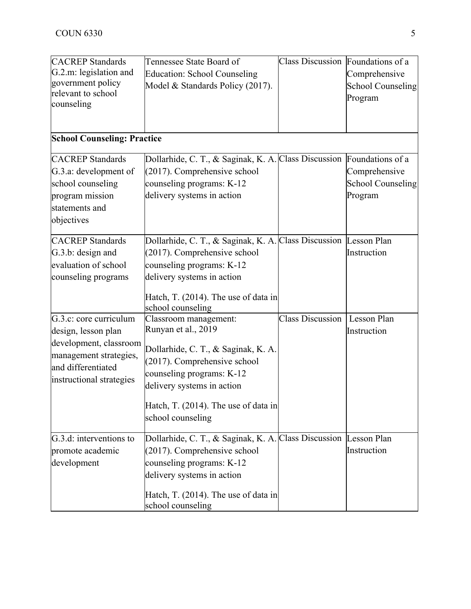| <b>CACREP</b> Standards<br>G.2.m: legislation and<br>government policy<br>relevant to school<br>counseling                                          | Tennessee State Board of<br><b>Education: School Counseling</b><br>Model & Standards Policy (2017).                                                                                                                                         | Class Discussion Foundations of a | Comprehensive<br><b>School Counseling</b><br>Program |
|-----------------------------------------------------------------------------------------------------------------------------------------------------|---------------------------------------------------------------------------------------------------------------------------------------------------------------------------------------------------------------------------------------------|-----------------------------------|------------------------------------------------------|
| <b>School Counseling: Practice</b>                                                                                                                  |                                                                                                                                                                                                                                             |                                   |                                                      |
| <b>CACREP</b> Standards<br>G.3.a: development of<br>school counseling<br>program mission<br>statements and<br>objectives                            | Dollarhide, C. T., & Saginak, K. A. Class Discussion Foundations of a<br>(2017). Comprehensive school<br>counseling programs: K-12<br>delivery systems in action                                                                            |                                   | Comprehensive<br><b>School Counseling</b><br>Program |
| <b>CACREP</b> Standards<br>G.3.b: design and<br>evaluation of school<br>counseling programs                                                         | Dollarhide, C. T., & Saginak, K. A. Class Discussion Lesson Plan<br>(2017). Comprehensive school<br>counseling programs: K-12<br>delivery systems in action<br>Hatch, T. (2014). The use of data in<br>school counseling                    |                                   | Instruction                                          |
| G.3.c: core curriculum<br>design, lesson plan<br>development, classroom<br>management strategies,<br>and differentiated<br>instructional strategies | Classroom management:<br>Runyan et al., 2019<br>Dollarhide, C. T., & Saginak, K. A.<br>(2017). Comprehensive school<br>counseling programs: K-12<br>delivery systems in action<br>Hatch, T. (2014). The use of data in<br>school counseling | <b>Class Discussion</b>           | Lesson Plan<br>Instruction                           |
| G.3.d: interventions to<br>promote academic<br>development                                                                                          | Dollarhide, C. T., & Saginak, K. A. Class Discussion Lesson Plan<br>$(2017)$ . Comprehensive school<br>counseling programs: K-12<br>delivery systems in action<br>Hatch, T. (2014). The use of data in<br>school counseling                 |                                   | Instruction                                          |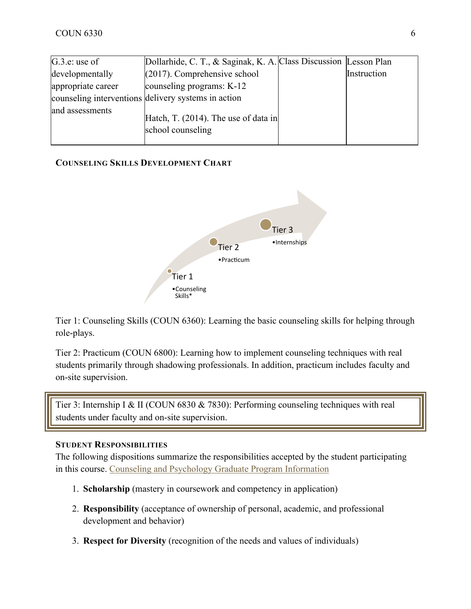| G.3.e: use of      | Dollarhide, C. T., & Saginak, K. A. Class Discussion Lesson Plan |             |
|--------------------|------------------------------------------------------------------|-------------|
| developmentally    | $(2017)$ . Comprehensive school                                  | Instruction |
| appropriate career | counseling programs: K-12                                        |             |
|                    | counseling interventions delivery systems in action              |             |
| and assessments    | Hatch, T. $(2014)$ . The use of data in<br>school counseling     |             |

# **COUNSELING SKILLS DEVELOPMENT CHART**



Tier 1: Counseling Skills (COUN 6360): Learning the basic counseling skills for helping through role-plays.

Tier 2: Practicum (COUN 6800): Learning how to implement counseling techniques with real students primarily through shadowing professionals. In addition, practicum includes faculty and on-site supervision.

Tier 3: Internship I & II (COUN 6830 & 7830): Performing counseling techniques with real students under faculty and on-site supervision.

#### **STUDENT RESPONSIBILITIES**

The following dispositions summarize the responsibilities accepted by the student participating in this course. Counseling and Psychology Graduate Program Information

- 1. **Scholarship** (mastery in coursework and competency in application)
- 2. **Responsibility** (acceptance of ownership of personal, academic, and professional development and behavior)
- 3. **Respect for Diversity** (recognition of the needs and values of individuals)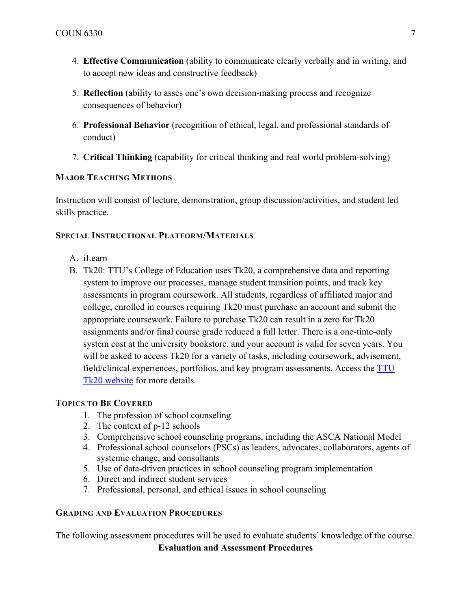- 4. **Effective Communication** (ability to communicate clearly verbally and in writing, and to accept new ideas and constructive feedback)
- 5. **Reflection** (ability to asses one's own decision-making process and recognize consequences of behavior)
- 6. **Professional Behavior** (recognition of ethical, legal, and professional standards of conduct)
- 7. **Critical Thinking** (capability for critical thinking and real world problem-solving)

# **MAJOR TEACHING METHODS**

Instruction will consist of lecture, demonstration, group discussion/activities, and student led skills practice.

# **SPECIAL INSTRUCTIONAL PLATFORM/MATERIALS**

- A. iLearn
- B. Tk20: TTU's College of Education uses Tk20, a comprehensive data and reporting system to improve our processes, manage student transition points, and track key assessments in program coursework. All students, regardless of affiliated major and college, enrolled in courses requiring Tk20 must purchase an account and submit the appropriate coursework. Failure to purchase Tk20 can result in a zero for Tk20 assignments and/or final course grade reduced a full letter. There is a one-time-only system cost at the university bookstore, and your account is valid for seven years. You will be asked to access Tk20 for a variety of tasks, including coursework, advisement, field/clinical experiences, portfolios, and key program assessments. Access the TTU Tk20 website for more details.

# **TOPICS TO BE COVERED**

- 1. The profession of school counseling
- 2. The context of p-12 schools
- 3. Comprehensive school counseling programs, including the ASCA National Model
- 4. Professional school counselors (PSCs) as leaders, advocates, collaborators, agents of systemic change, and consultants
- 5. Use of data-driven practices in school counseling program implementation
- 6. Direct and indirect student services
- 7. Professional, personal, and ethical issues in school counseling

# **GRADING AND EVALUATION PROCEDURES**

The following assessment procedures will be used to evaluate students' knowledge of the course.

**Evaluation and Assessment Procedures**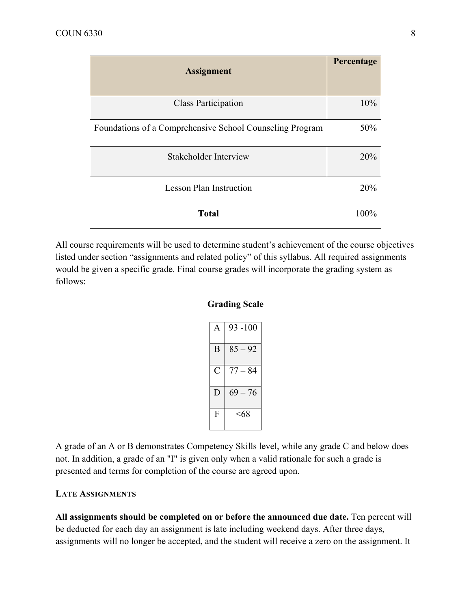| <b>Assignment</b>                                        | Percentage |
|----------------------------------------------------------|------------|
| <b>Class Participation</b>                               | 10%        |
| Foundations of a Comprehensive School Counseling Program | 50%        |
| <b>Stakeholder Interview</b>                             | 20%        |
| <b>Lesson Plan Instruction</b>                           | 20%        |
| <b>Total</b>                                             | 100%       |

All course requirements will be used to determine student's achievement of the course objectives listed under section "assignments and related policy" of this syllabus. All required assignments would be given a specific grade. Final course grades will incorporate the grading system as follows:

### **Grading Scale**

|   | $93 - 100$ |
|---|------------|
| B | $85 - 92$  |
| ⊖ | $77 - 84$  |
| D | $69 - 76$  |
| F | <68        |

A grade of an A or B demonstrates Competency Skills level, while any grade C and below does not. In addition, a grade of an "I" is given only when a valid rationale for such a grade is presented and terms for completion of the course are agreed upon.

#### **LATE ASSIGNMENTS**

**All assignments should be completed on or before the announced due date.** Ten percent will be deducted for each day an assignment is late including weekend days. After three days, assignments will no longer be accepted, and the student will receive a zero on the assignment. It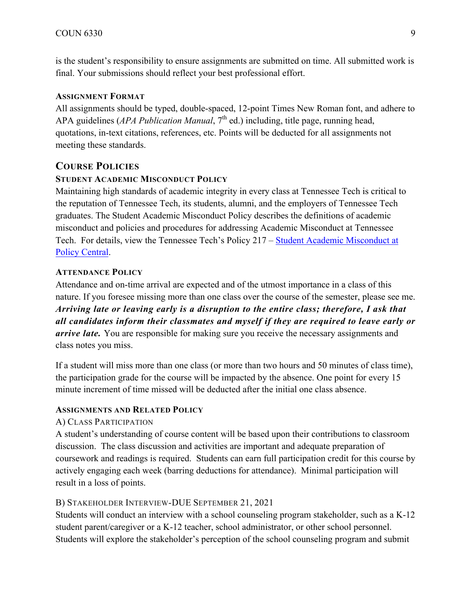is the student's responsibility to ensure assignments are submitted on time. All submitted work is final. Your submissions should reflect your best professional effort.

#### **ASSIGNMENT FORMAT**

All assignments should be typed, double-spaced, 12-point Times New Roman font, and adhere to APA guidelines (*APA Publication Manual*, 7<sup>th</sup> ed.) including, title page, running head, quotations, in-text citations, references, etc. Points will be deducted for all assignments not meeting these standards.

# **COURSE POLICIES**

#### **STUDENT ACADEMIC MISCONDUCT POLICY**

Maintaining high standards of academic integrity in every class at Tennessee Tech is critical to the reputation of Tennessee Tech, its students, alumni, and the employers of Tennessee Tech graduates. The Student Academic Misconduct Policy describes the definitions of academic misconduct and policies and procedures for addressing Academic Misconduct at Tennessee Tech. For details, view the Tennessee Tech's Policy 217 – Student Academic Misconduct at Policy Central.

#### **ATTENDANCE POLICY**

Attendance and on-time arrival are expected and of the utmost importance in a class of this nature. If you foresee missing more than one class over the course of the semester, please see me. *Arriving late or leaving early is a disruption to the entire class; therefore, I ask that all candidates inform their classmates and myself if they are required to leave early or arrive late.* You are responsible for making sure you receive the necessary assignments and class notes you miss.

If a student will miss more than one class (or more than two hours and 50 minutes of class time), the participation grade for the course will be impacted by the absence. One point for every 15 minute increment of time missed will be deducted after the initial one class absence.

#### **ASSIGNMENTS AND RELATED POLICY**

#### A) CLASS PARTICIPATION

A student's understanding of course content will be based upon their contributions to classroom discussion. The class discussion and activities are important and adequate preparation of coursework and readings is required. Students can earn full participation credit for this course by actively engaging each week (barring deductions for attendance). Minimal participation will result in a loss of points.

#### B) STAKEHOLDER INTERVIEW-DUE SEPTEMBER 21, 2021

Students will conduct an interview with a school counseling program stakeholder, such as a K-12 student parent/caregiver or a K-12 teacher, school administrator, or other school personnel. Students will explore the stakeholder's perception of the school counseling program and submit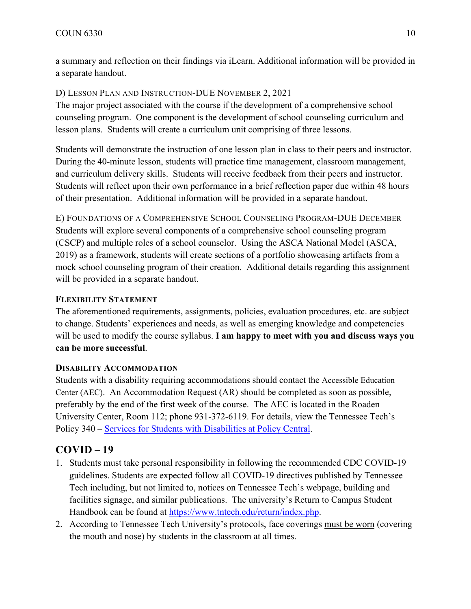a summary and reflection on their findings via iLearn. Additional information will be provided in a separate handout.

D) LESSON PLAN AND INSTRUCTION-DUE NOVEMBER 2, 2021

The major project associated with the course if the development of a comprehensive school counseling program. One component is the development of school counseling curriculum and lesson plans. Students will create a curriculum unit comprising of three lessons.

Students will demonstrate the instruction of one lesson plan in class to their peers and instructor. During the 40-minute lesson, students will practice time management, classroom management, and curriculum delivery skills. Students will receive feedback from their peers and instructor. Students will reflect upon their own performance in a brief reflection paper due within 48 hours of their presentation. Additional information will be provided in a separate handout.

E) FOUNDATIONS OF A COMPREHENSIVE SCHOOL COUNSELING PROGRAM-DUE DECEMBER Students will explore several components of a comprehensive school counseling program (CSCP) and multiple roles of a school counselor. Using the ASCA National Model (ASCA, 2019) as a framework, students will create sections of a portfolio showcasing artifacts from a mock school counseling program of their creation. Additional details regarding this assignment will be provided in a separate handout.

# **FLEXIBILITY STATEMENT**

The aforementioned requirements, assignments, policies, evaluation procedures, etc. are subject to change. Students' experiences and needs, as well as emerging knowledge and competencies will be used to modify the course syllabus. **I am happy to meet with you and discuss ways you can be more successful**.

# **DISABILITY ACCOMMODATION**

Students with a disability requiring accommodations should contact the Accessible Education Center (AEC). An Accommodation Request (AR) should be completed as soon as possible, preferably by the end of the first week of the course. The AEC is located in the Roaden University Center, Room 112; phone 931-372-6119. For details, view the Tennessee Tech's Policy 340 – Services for Students with Disabilities at Policy Central.

# **COVID – 19**

- 1. Students must take personal responsibility in following the recommended CDC COVID-19 guidelines. Students are expected follow all COVID-19 directives published by Tennessee Tech including, but not limited to, notices on Tennessee Tech's webpage, building and facilities signage, and similar publications. The university's Return to Campus Student Handbook can be found at https://www.tntech.edu/return/index.php.
- 2. According to Tennessee Tech University's protocols, face coverings must be worn (covering the mouth and nose) by students in the classroom at all times.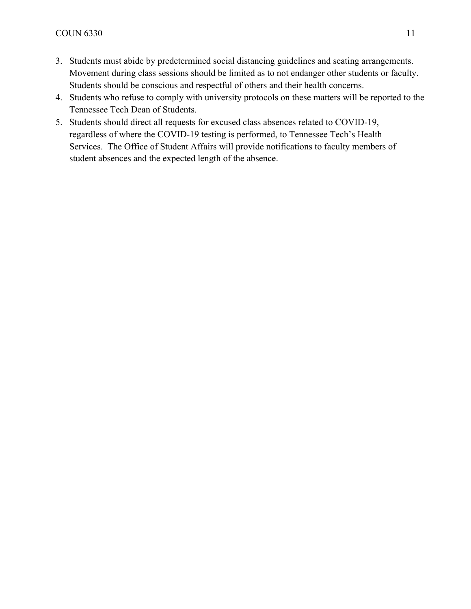- 3. Students must abide by predetermined social distancing guidelines and seating arrangements. Movement during class sessions should be limited as to not endanger other students or faculty. Students should be conscious and respectful of others and their health concerns.
- 4. Students who refuse to comply with university protocols on these matters will be reported to the Tennessee Tech Dean of Students.
- 5. Students should direct all requests for excused class absences related to COVID-19, regardless of where the COVID-19 testing is performed, to Tennessee Tech's Health Services. The Office of Student Affairs will provide notifications to faculty members of student absences and the expected length of the absence.